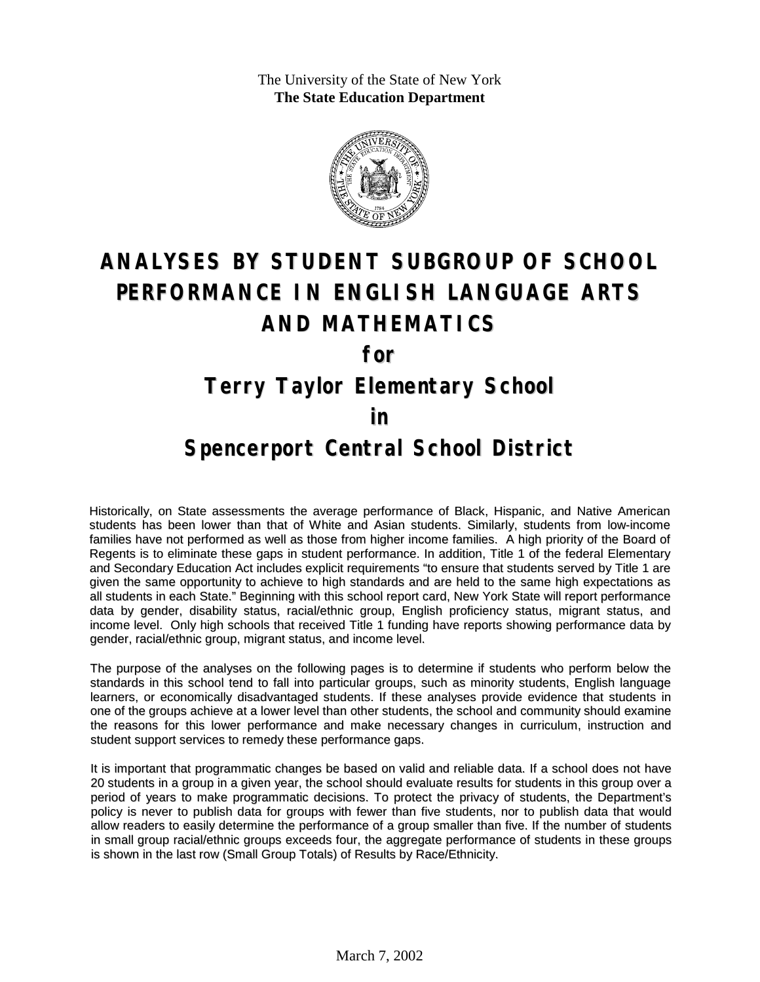The University of the State of New York **The State Education Department**



# **ANALYSES BY STUDENT SUBGROUP OF SCHOOL PERFORMANCE IN ENGLISH LANGUAGE ARTS AND MATHEMATICS**

**for**

### **Terry Taylor Elementary School**

#### **in**

#### **Spencerport Central School District**

Historically, on State assessments the average performance of Black, Hispanic, and Native American students has been lower than that of White and Asian students. Similarly, students from low-income families have not performed as well as those from higher income families. A high priority of the Board of Regents is to eliminate these gaps in student performance. In addition, Title 1 of the federal Elementary and Secondary Education Act includes explicit requirements "to ensure that students served by Title 1 are given the same opportunity to achieve to high standards and are held to the same high expectations as all students in each State." Beginning with this school report card, New York State will report performance data by gender, disability status, racial/ethnic group, English proficiency status, migrant status, and income level. Only high schools that received Title 1 funding have reports showing performance data by gender, racial/ethnic group, migrant status, and income level.

The purpose of the analyses on the following pages is to determine if students who perform below the standards in this school tend to fall into particular groups, such as minority students, English language learners, or economically disadvantaged students. If these analyses provide evidence that students in one of the groups achieve at a lower level than other students, the school and community should examine the reasons for this lower performance and make necessary changes in curriculum, instruction and student support services to remedy these performance gaps.

It is important that programmatic changes be based on valid and reliable data. If a school does not have 20 students in a group in a given year, the school should evaluate results for students in this group over a period of years to make programmatic decisions. To protect the privacy of students, the Department's policy is never to publish data for groups with fewer than five students, nor to publish data that would allow readers to easily determine the performance of a group smaller than five. If the number of students in small group racial/ethnic groups exceeds four, the aggregate performance of students in these groups is shown in the last row (Small Group Totals) of Results by Race/Ethnicity.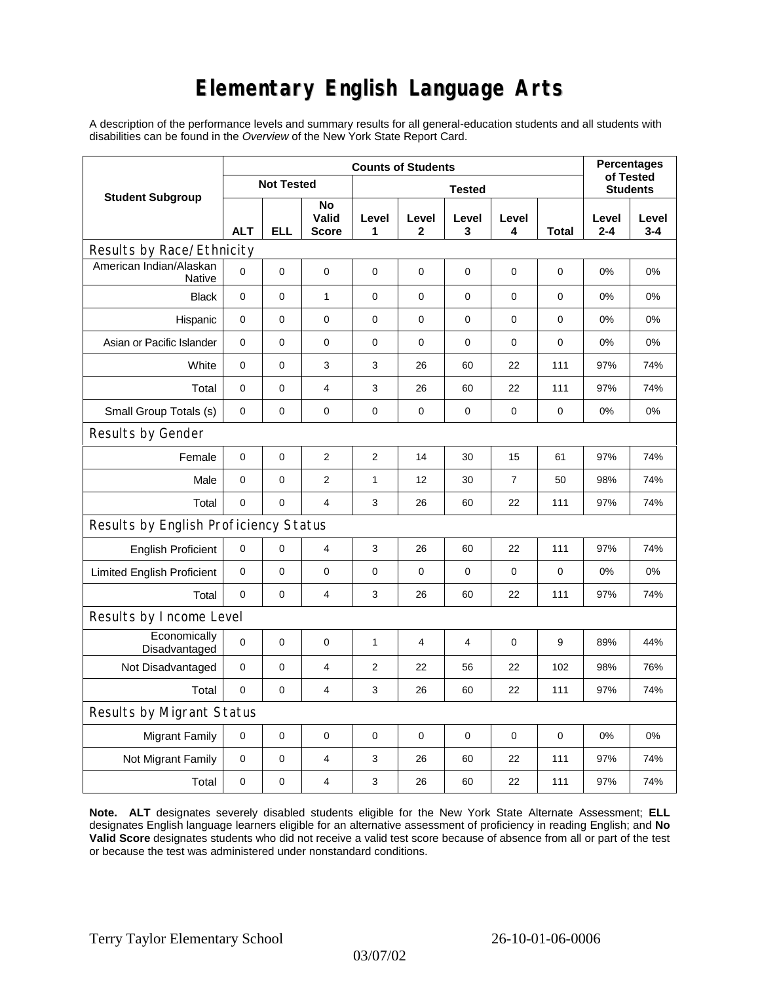# **Elementary English Language Arts**

A description of the performance levels and summary results for all general-education students and all students with disabilities can be found in the *Overview* of the New York State Report Card.

| <b>Student Subgroup</b>                  | <b>Counts of Students</b> |          |                             |                  |             |                  |                |             | <b>Percentages</b>           |                  |
|------------------------------------------|---------------------------|----------|-----------------------------|------------------|-------------|------------------|----------------|-------------|------------------------------|------------------|
|                                          | <b>Not Tested</b>         |          |                             | <b>Tested</b>    |             |                  |                |             | of Tested<br><b>Students</b> |                  |
|                                          | <b>ALT</b>                | ELL      | No<br>Valid<br><b>Score</b> | Level<br>1       | Level<br>2  | Level<br>3       | Level<br>4     | Total       | Level<br>$2 - 4$             | Level<br>$3 - 4$ |
| Results by Race/Ethnicity                |                           |          |                             |                  |             |                  |                |             |                              |                  |
| American Indian/Alaskan<br><b>Native</b> | $\mathbf 0$               | 0        | 0                           | $\mathbf 0$      | $\mathbf 0$ | $\mathbf 0$      | 0              | 0           | 0%                           | 0%               |
| <b>Black</b>                             | $\mathbf 0$               | 0        | $\mathbf{1}$                | 0                | 0           | $\mathbf 0$      | $\mathbf 0$    | $\mathbf 0$ | 0%                           | 0%               |
| Hispanic                                 | $\mathbf 0$               | 0        | $\pmb{0}$                   | $\pmb{0}$        | 0           | $\boldsymbol{0}$ | $\pmb{0}$      | 0           | 0%                           | 0%               |
| Asian or Pacific Islander                | 0                         | 0        | $\mathbf 0$                 | $\mathbf 0$      | $\mathbf 0$ | 0                | 0              | 0           | 0%                           | 0%               |
| White                                    | $\pmb{0}$                 | 0        | 3                           | 3                | 26          | 60               | 22             | 111         | 97%                          | 74%              |
| Total                                    | 0                         | 0        | 4                           | 3                | 26          | 60               | 22             | 111         | 97%                          | 74%              |
| Small Group Totals (s)                   | 0                         | 0        | 0                           | 0                | 0           | 0                | 0              | 0           | 0%                           | 0%               |
| Results by Gender                        |                           |          |                             |                  |             |                  |                |             |                              |                  |
| Female                                   | $\mathbf 0$               | 0        | $\boldsymbol{2}$            | $\boldsymbol{2}$ | 14          | 30               | 15             | 61          | 97%                          | 74%              |
| Male                                     | $\mathbf 0$               | 0        | $\overline{2}$              | 1                | 12          | 30               | $\overline{7}$ | 50          | 98%                          | 74%              |
| Total                                    | 0                         | 0        | $\overline{4}$              | 3                | 26          | 60               | 22             | 111         | 97%                          | 74%              |
| Results by English Proficiency Status    |                           |          |                             |                  |             |                  |                |             |                              |                  |
| <b>English Proficient</b>                | 0                         | 0        | 4                           | 3                | 26          | 60               | 22             | 111         | 97%                          | 74%              |
| <b>Limited English Proficient</b>        | 0                         | 0        | $\mathbf 0$                 | $\pmb{0}$        | $\mathbf 0$ | $\mathbf 0$      | $\mathbf 0$    | $\mathbf 0$ | 0%                           | 0%               |
| Total                                    | $\mathbf 0$               | 0        | $\overline{4}$              | 3                | 26          | 60               | 22             | 111         | 97%                          | 74%              |
| Results by Income Level                  |                           |          |                             |                  |             |                  |                |             |                              |                  |
| Economically<br>Disadvantaged            | $\mathbf 0$               | 0        | $\mathbf 0$                 | 1                | 4           | 4                | $\mathbf 0$    | 9           | 89%                          | 44%              |
| Not Disadvantaged                        | $\mathbf 0$               | 0        | 4                           | 2                | 22          | 56               | 22             | 102         | 98%                          | 76%              |
| Total                                    | $\mathbf 0$               | $\Omega$ | $\overline{\mathbf{4}}$     | 3                | 26          | 60               | 22             | 111         | 97%                          | 74%              |
| Results by Migrant Status                |                           |          |                             |                  |             |                  |                |             |                              |                  |
| <b>Migrant Family</b>                    | 0                         | 0        | $\mathbf 0$                 | 0                | 0           | $\mathbf 0$      | 0              | 0           | 0%                           | 0%               |
| Not Migrant Family                       | 0                         | 0        | 4                           | 3                | 26          | 60               | 22             | 111         | 97%                          | 74%              |
| Total                                    | 0                         | 0        | $\overline{4}$              | 3                | 26          | 60               | 22             | 111         | 97%                          | 74%              |

**Note. ALT** designates severely disabled students eligible for the New York State Alternate Assessment; **ELL** designates English language learners eligible for an alternative assessment of proficiency in reading English; and **No Valid Score** designates students who did not receive a valid test score because of absence from all or part of the test or because the test was administered under nonstandard conditions.